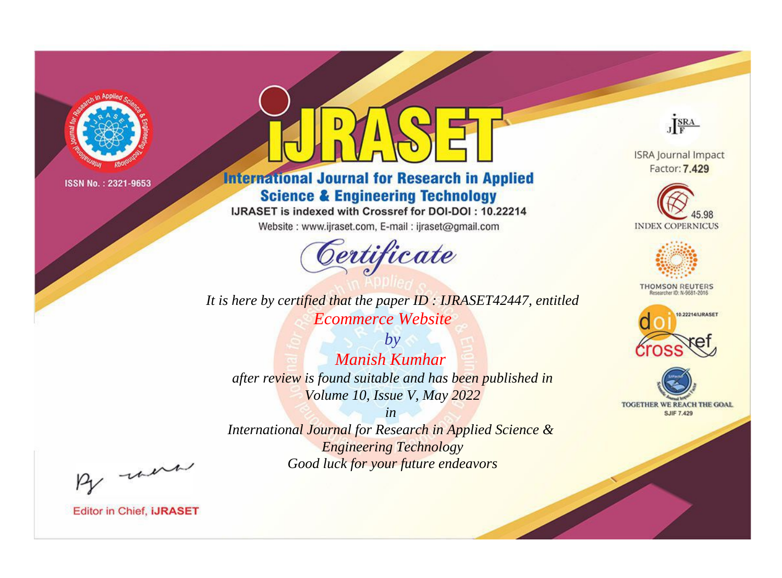

# **International Journal for Research in Applied Science & Engineering Technology**

IJRASET is indexed with Crossref for DOI-DOI: 10.22214

Website: www.ijraset.com, E-mail: ijraset@gmail.com



*It is here by certified that the paper ID : IJRASET42447, entitled Ecommerce Website*

*by Manish Kumhar after review is found suitable and has been published in Volume 10, Issue V, May 2022*

*in International Journal for Research in Applied Science & Engineering Technology Good luck for your future endeavors*



**ISRA Journal Impact** Factor: 7.429





**THOMSON REUTERS** 





By morn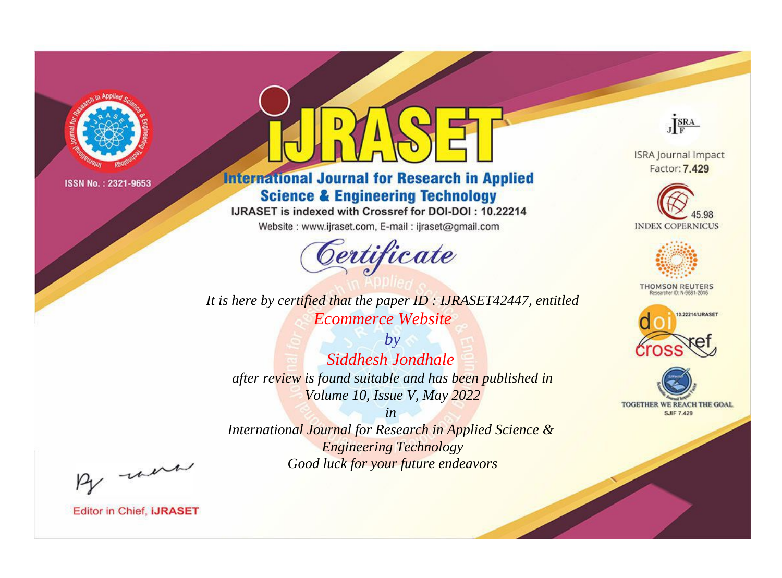

# **International Journal for Research in Applied Science & Engineering Technology**

IJRASET is indexed with Crossref for DOI-DOI: 10.22214

Website: www.ijraset.com, E-mail: ijraset@gmail.com



**ISRA Journal Impact** Factor: 7.429

JERA





**THOMSON REUTERS** 



TOGETHER WE REACH THE GOAL **SJIF 7.429** 

*It is here by certified that the paper ID : IJRASET42447, entitled Ecommerce Website*

*by Siddhesh Jondhale after review is found suitable and has been published in Volume 10, Issue V, May 2022*

*in* 

*International Journal for Research in Applied Science & Engineering Technology Good luck for your future endeavors*

By morn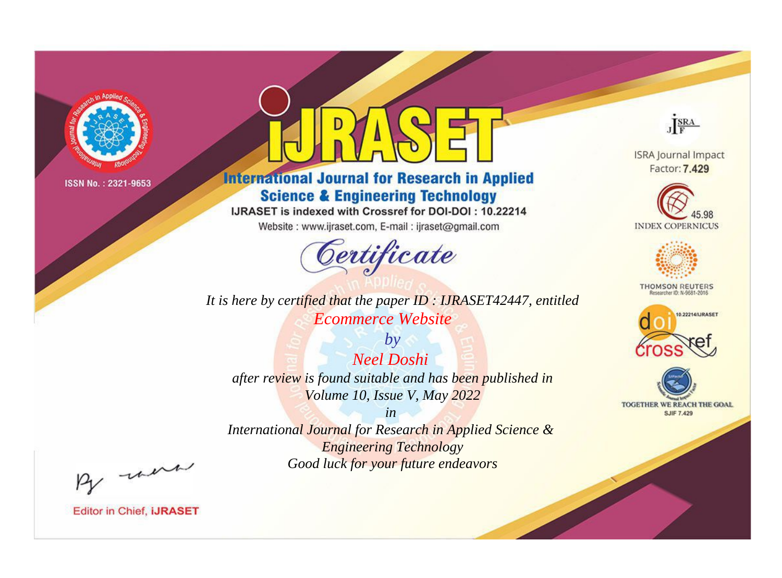

# **International Journal for Research in Applied Science & Engineering Technology**

IJRASET is indexed with Crossref for DOI-DOI: 10.22214

Website: www.ijraset.com, E-mail: ijraset@gmail.com



*It is here by certified that the paper ID : IJRASET42447, entitled Ecommerce Website*

*by Neel Doshi after review is found suitable and has been published in Volume 10, Issue V, May 2022*

*in International Journal for Research in Applied Science & Engineering Technology Good luck for your future endeavors*



**ISRA Journal Impact** Factor: 7.429





**THOMSON REUTERS** 





By morn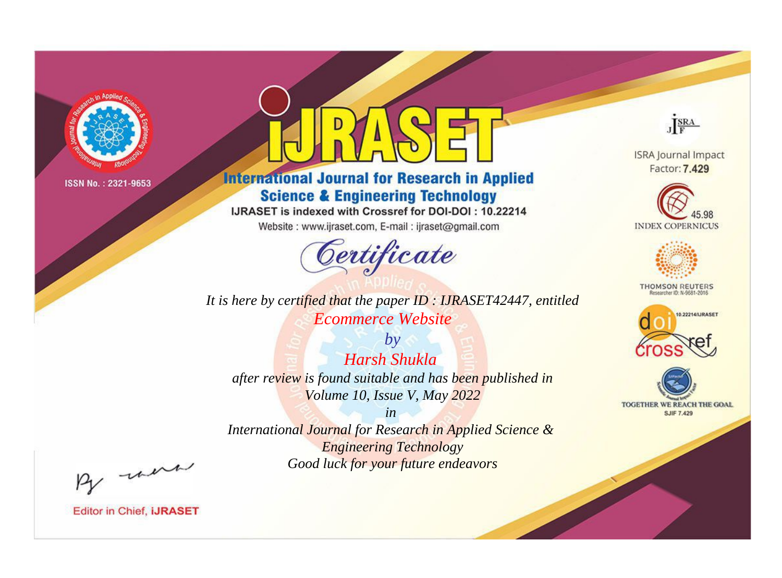

# **International Journal for Research in Applied Science & Engineering Technology**

IJRASET is indexed with Crossref for DOI-DOI: 10.22214

Website: www.ijraset.com, E-mail: ijraset@gmail.com



*It is here by certified that the paper ID : IJRASET42447, entitled Ecommerce Website*

*by Harsh Shukla after review is found suitable and has been published in Volume 10, Issue V, May 2022*

*in International Journal for Research in Applied Science & Engineering Technology Good luck for your future endeavors*



**ISRA Journal Impact** Factor: 7.429





**THOMSON REUTERS** 





By morn